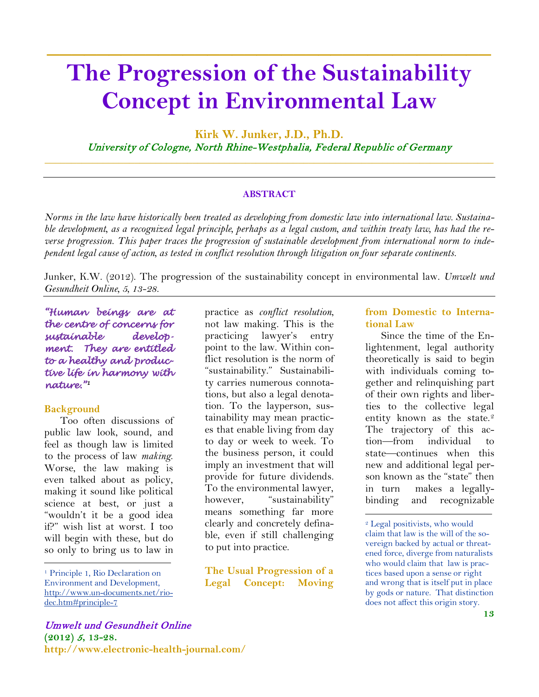# **The Progression of the Sustainability Concept in Environmental Law**

**\_\_\_\_\_\_\_\_\_\_\_\_\_\_\_\_\_\_\_\_\_\_\_\_\_\_\_\_\_\_\_\_\_\_\_\_**

**Kirk W. Junker, J.D., Ph.D.**

University of Cologne, North Rhine-Westphalia, Federal Republic of Germany  $\_$  , and the set of the set of the set of the set of the set of the set of the set of the set of the set of the set of the set of the set of the set of the set of the set of the set of the set of the set of the set of th

#### **ABSTRACT**

*Norms in the law have historically been treated as developing from domestic law into international law. Sustainable development, as a recognized legal principle, perhaps as a legal custom, and within treaty law, has had the reverse progression. This paper traces the progression of sustainable development from international norm to independent legal cause of action, as tested in conflict resolution through litigation on four separate continents.*

Junker, K.W. (2012). The progression of the sustainability concept in environmental law. *Umwelt und Gesundheit Online, 5, 13-28.*

*"Human beings are at the centre of concerns for sustainable development. They are entitled to a healthy and productive life in harmony with nature."[1](#page-0-0)* 

#### **Background**

Too often discussions of public law look, sound, and feel as though law is limited to the process of law *making*. Worse, the law making is even talked about as policy, making it sound like political science at best, or just a "wouldn't it be a good idea if?" wish list at worst. I too will begin with these, but do so only to bring us to law in

<span id="page-0-1"></span><span id="page-0-0"></span> 1 Principle 1, Rio Declaration on Environment and Development, [http://www.un-documents.net/rio](http://www.un-documents.net/rio-dec.htm#principle-7)[dec.htm#principle-7](http://www.un-documents.net/rio-dec.htm#principle-7)

practice as *conflict resolution*, not law making. This is the practicing lawyer's entry point to the law. Within conflict resolution is the norm of "sustainability." Sustainability carries numerous connotations, but also a legal denotation. To the layperson, sustainability may mean practices that enable living from day to day or week to week. To the business person, it could imply an investment that will provide for future dividends. To the environmental lawyer, however, "sustainability" means something far more clearly and concretely definable, even if still challenging to put into practice.

**The Usual Progression of a Legal Concept: Moving** 

#### **from Domestic to International Law**

Since the time of the Enlightenment, legal authority theoretically is said to begin with individuals coming together and relinquishing part of their own rights and liberties to the collective legal entity known as the state.<sup>[2](#page-0-1)</sup> The trajectory of this action—from individual to state—continues when this new and additional legal person known as the "state" then in turn makes a legallybinding and recognizable

 2 Legal positivists, who would claim that law is the will of the sovereign backed by actual or threatened force, diverge from naturalists who would claim that law is practices based upon a sense or right and wrong that is itself put in place by gods or nature. That distinction does not affect this origin story.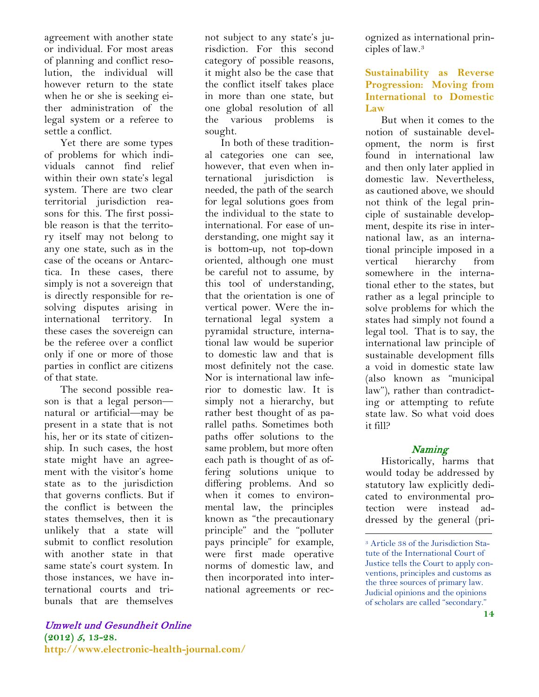agreement with another state or individual. For most areas of planning and conflict resolution, the individual will however return to the state when he or she is seeking either administration of the legal system or a referee to settle a conflict.

Yet there are some types of problems for which individuals cannot find relief within their own state's legal system. There are two clear territorial jurisdiction reasons for this. The first possible reason is that the territory itself may not belong to any one state, such as in the case of the oceans or Antarctica. In these cases, there simply is not a sovereign that is directly responsible for resolving disputes arising in international territory. In these cases the sovereign can be the referee over a conflict only if one or more of those parties in conflict are citizens of that state.

<span id="page-1-0"></span>The second possible reason is that a legal person natural or artificial—may be present in a state that is not his, her or its state of citizenship. In such cases, the host state might have an agreement with the visitor's home state as to the jurisdiction that governs conflicts. But if the conflict is between the states themselves, then it is unlikely that a state will submit to conflict resolution with another state in that same state's court system. In those instances, we have international courts and tribunals that are themselves

not subject to any state's jurisdiction. For this second category of possible reasons, it might also be the case that the conflict itself takes place in more than one state, but one global resolution of all the various problems is sought.

In both of these traditional categories one can see, however, that even when international jurisdiction is needed, the path of the search for legal solutions goes from the individual to the state to international. For ease of understanding, one might say it is bottom-up, not top-down oriented, although one must be careful not to assume, by this tool of understanding, that the orientation is one of vertical power. Were the international legal system a pyramidal structure, international law would be superior to domestic law and that is most definitely not the case. Nor is international law inferior to domestic law. It is simply not a hierarchy, but rather best thought of as parallel paths. Sometimes both paths offer solutions to the same problem, but more often each path is thought of as offering solutions unique to differing problems. And so when it comes to environmental law, the principles known as "the precautionary principle" and the "polluter pays principle" for example, were first made operative norms of domestic law, and then incorporated into international agreements or recognized as international principles of law.[3](#page-1-0)

# **Sustainability as Reverse Progression: Moving from International to Domestic Law**

But when it comes to the notion of sustainable development, the norm is first found in international law and then only later applied in domestic law. Nevertheless, as cautioned above, we should not think of the legal principle of sustainable development, despite its rise in international law, as an international principle imposed in a vertical hierarchy from somewhere in the international ether to the states, but rather as a legal principle to solve problems for which the states had simply not found a legal tool. That is to say, the international law principle of sustainable development fills a void in domestic state law (also known as "municipal law"), rather than contradicting or attempting to refute state law. So what void does it fill?

## Naming

Historically, harms that would today be addressed by statutory law explicitly dedicated to environmental protection were instead addressed by the general (pri-

 <sup>3</sup> Article 38 of the Jurisdiction Statute of the International Court of Justice tells the Court to apply conventions, principles and customs as the three sources of primary law. Judicial opinions and the opinions of scholars are called "secondary."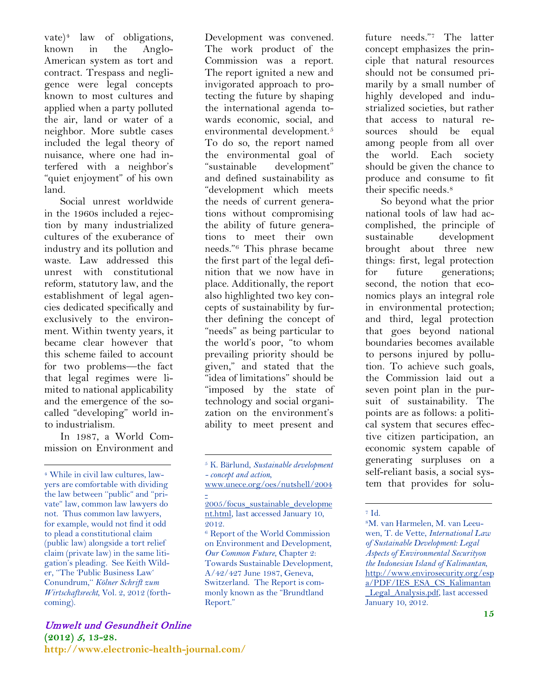$vate$ <sup>[4](#page-2-0)</sup> law of obligations, known in the Anglo-American system as tort and contract. Trespass and negligence were legal concepts known to most cultures and applied when a party polluted the air, land or water of a neighbor. More subtle cases included the legal theory of nuisance, where one had interfered with a neighbor's "quiet enjoyment" of his own land.

Social unrest worldwide in the 1960s included a rejection by many industrialized cultures of the exuberance of industry and its pollution and waste. Law addressed this unrest with constitutional reform, statutory law, and the establishment of legal agencies dedicated specifically and exclusively to the environment. Within twenty years, it became clear however that this scheme failed to account for two problems—the fact that legal regimes were limited to national applicability and the emergence of the socalled "developing" world into industrialism.

In 1987, a World Commission on Environment and

Development was convened. The work product of the Commission was a report. The report ignited a new and invigorated approach to protecting the future by shaping the international agenda towards economic, social, and environmental development.<sup>[5](#page-2-1)</sup> To do so, the report named the environmental goal of "sustainable development" and defined sustainability as "development which meets the needs of current generations without compromising the ability of future generations to meet their own needs."[6](#page-2-1) This phrase became the first part of the legal definition that we now have in place. Additionally, the report also highlighted two key concepts of sustainability by further defining the concept of "needs" as being particular to the world's poor, "to whom prevailing priority should be given," and stated that the "idea of limitations" should be "imposed by the state of technology and social organization on the environment's ability to meet present and

future needs."[7](#page-2-2) The latter concept emphasizes the principle that natural resources should not be consumed primarily by a small number of highly developed and industrialized societies, but rather that access to natural resources should be equal among people from all over the world. Each society should be given the chance to produce and consume to fit their specific needs.<sup>[8](#page-2-2)</sup>

So beyond what the prior national tools of law had accomplished, the principle of sustainable development brought about three new things: first, legal protection for future generations; second, the notion that economics plays an integral role in environmental protection; and third, legal protection that goes beyond national boundaries becomes available to persons injured by pollution. To achieve such goals, the Commission laid out a seven point plan in the pursuit of sustainability. The points are as follows: a political system that secures effective citizen participation, an economic system capable of generating surpluses on a self-reliant basis, a social system that provides for solu-

<span id="page-2-2"></span><span id="page-2-1"></span><span id="page-2-0"></span> <sup>4</sup> While in civil law cultures, lawyers are comfortable with dividing the law between ''public" and ''private" law, common law lawyers do not. Thus common law lawyers, for example, would not find it odd to plead a constitutional claim (public law) alongside a tort relief claim (private law) in the same litigation's pleading. See Keith Wilder, ''The 'Public Business Law' Conundrum,'' *Kölner Schrift zum Wirtschaftsrecht,* Vol. 2, 2012 (forthcoming).

 <sup>5</sup> K. Bärlund, *Sustainable development - concept and action*,

[www.unece.org/oes/nutshell/2004](http://www.unece.org/oes/nutshell/2004-2005/focus_sustainable_development.html) [-](http://www.unece.org/oes/nutshell/2004-2005/focus_sustainable_development.html)

[<sup>2005/</sup>focus\\_sustainable\\_developme](http://www.unece.org/oes/nutshell/2004-2005/focus_sustainable_development.html) [nt.html,](http://www.unece.org/oes/nutshell/2004-2005/focus_sustainable_development.html) last accessed January 10, 2012.

<sup>6</sup> Report of the World Commission on Environment and Development*, Our Common Future*, Chapter 2: Towards Sustainable Development, A/42/427 June 1987, Geneva, Switzerland. The Report is commonly known as the "Brundtland Report."

 <sup>7</sup> Id.

<sup>8</sup>M. van Harmelen, M. van Leeuwen, T. de Vette, *International Law of Sustainable Development: Legal Aspects of Environmental Securityon the Indonesian Island of Kalimantan*, [http://www.envirosecurity.org/esp](http://www.envirosecurity.org/espa/PDF/IES_ESA_CS_Kalimantan_Legal_Analysis.pdf) [a/PDF/IES\\_ESA\\_CS\\_Kalimantan](http://www.envirosecurity.org/espa/PDF/IES_ESA_CS_Kalimantan_Legal_Analysis.pdf) Legal Analysis.pdf, last accessed January 10, 2012.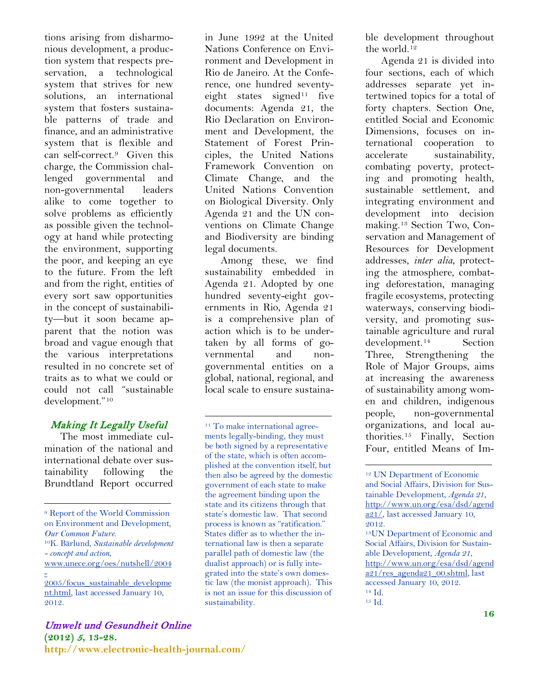tions arising from disharmonious development, a production system that respects preservation, a technological system that strives for new solutions, an international system that fosters sustainable patterns of trade and finance, and an administrative system that is flexible and can self-correct.[9](#page-3-0) Given this charge, the Commission challenged governmental and non-governmental leaders alike to come together to solve problems as efficiently as possible given the technology at hand while protecting the environment, supporting the poor, and keeping an eye to the future. From the left and from the right, entities of every sort saw opportunities in the concept of sustainability—but it soon became apparent that the notion was broad and vague enough that the various interpretations resulted in no concrete set of traits as to what we could or could not call "sustainable development."[10](#page-3-0)

## Making It Legally Useful

<span id="page-3-2"></span><span id="page-3-1"></span>The most immediate culmination of the national and international debate over sustainability following the Brundtland Report occurred in June 1992 at the United Nations Conference on Environment and Development in Rio de Janeiro. At the Conference, one hundred seventy-eight states signed<sup>[11](#page-3-1)</sup> five documents: Agenda 21, the Rio Declaration on Environment and Development, the Statement of Forest Principles, the United Nations Framework Convention on Climate Change, and the United Nations Convention on Biological Diversity. Only Agenda 21 and the UN conventions on Climate Change and Biodiversity are binding legal documents.

Among these, we find sustainability embedded in Agenda 21. Adopted by one hundred seventy-eight governments in Rio, Agenda 21 is a comprehensive plan of action which is to be undertaken by all forms of governmental and nongovernmental entities on a global, national, regional, and local scale to ensure sustaina-

<sup>11</sup> To make international agreements legally-binding, they must be both signed by a representative of the state, which is often accomplished at the convention itself, but then also be agreed by the domestic government of each state to make the agreement binding upon the state and its citizens through that state's domestic law. That second process is known as "ratification." States differ as to whether the international law is then a separate parallel path of domestic law (the dualist approach) or is fully integrated into the state's own domestic law (the monist approach). This is not an issue for this discussion of sustainability.

ble development throughout the world.[12](#page-3-2)

Agenda 21 is divided into four sections, each of which addresses separate yet intertwined topics for a total of forty chapters. Section One, entitled Social and Economic Dimensions, focuses on international cooperation to accelerate sustainability, combating poverty, protecting and promoting health, sustainable settlement, and integrating environment and development into decision making.[13](#page-3-2) Section Two, Conservation and Management of Resources for Development addresses, *inter alia*, protecting the atmosphere, combating deforestation, managing fragile ecosystems, protecting waterways, conserving biodiversity, and promoting sustainable agriculture and rural development.[14](#page-3-2) Section Three, Strengthening the Role of Major Groups, aims at increasing the awareness of sustainability among women and children, indigenous people, non-governmental organizations, and local authorities.[15](#page-3-2) Finally, Section Four, entitled Means of Im-

<span id="page-3-0"></span> <sup>9</sup> Report of the World Commission on Environment and Development*, Our Common Future.*

<sup>10</sup>K. Bärlund, *Sustainable development - concept and action*,

[www.unece.org/oes/nutshell/2004](http://www.unece.org/oes/nutshell/2004-2005/focus_sustainable_development.html) [-](http://www.unece.org/oes/nutshell/2004-2005/focus_sustainable_development.html)

[<sup>2005/</sup>focus\\_sustainable\\_developme](http://www.unece.org/oes/nutshell/2004-2005/focus_sustainable_development.html) [nt.html,](http://www.unece.org/oes/nutshell/2004-2005/focus_sustainable_development.html) last accessed January 10, 2012.

 <sup>12</sup> UN Department of Economic and Social Affairs, Division for Sustainable Development, *Agenda 21*, [http://www.un.org/esa/dsd/agend](http://www.un.org/esa/dsd/agenda21/) [a21/,](http://www.un.org/esa/dsd/agenda21/) last accessed January 10, 2012. 13UN Department of Economic and Social Affairs, Division for Sustainable Development, *Agenda 21*, [http://www.un.org/esa/dsd/agend](http://www.un.org/esa/dsd/agenda21/res_agenda21_00.shtml) [a21/res\\_agenda21\\_00.shtml,](http://www.un.org/esa/dsd/agenda21/res_agenda21_00.shtml) last accessed January 10, 2012. <sup>14</sup> Id.

<sup>15</sup> Id.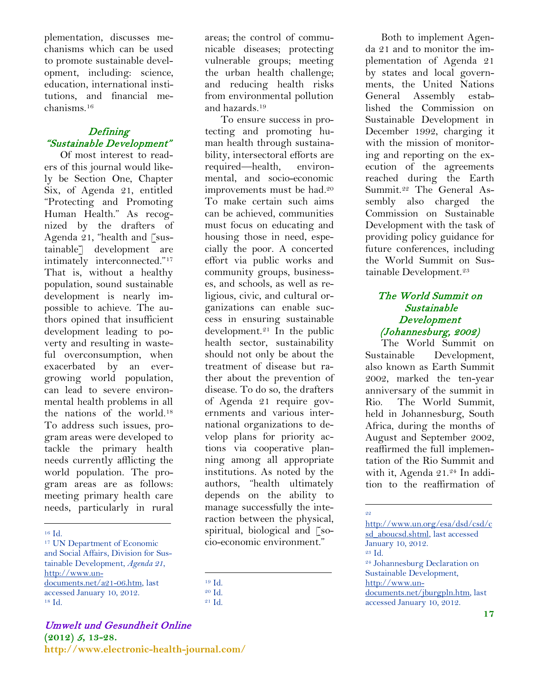plementation, discusses mechanisms which can be used to promote sustainable development, including: science, education, international institutions, and financial mechanisms[.16](#page-4-0)

# **Defining** "Sustainable Development"

Of most interest to readers of this journal would likely be Section One, Chapter Six, of Agenda 21, entitled "Protecting and Promoting Human Health." As recognized by the drafters of Agenda 21, "health and  $\lceil$ sustainable] development are intimately interconnected."[17](#page-4-0)  That is, without a healthy population, sound sustainable development is nearly impossible to achieve. The authors opined that insufficient development leading to poverty and resulting in wasteful overconsumption, when exacerbated by an evergrowing world population, can lead to severe environmental health problems in all the nations of the world.[18](#page-4-0)  To address such issues, program areas were developed to tackle the primary health needs currently afflicting the world population. The program areas are as follows: meeting primary health care needs, particularly in rural

<span id="page-4-2"></span><span id="page-4-0"></span>16 Id.

<span id="page-4-1"></span><sup>17</sup> UN Department of Economic and Social Affairs, Division for Sustainable Development, *Agenda 21*, [http://www.un](http://www.un-documents.net/a21-06.htm)[documents.net/a21-06.htm,](http://www.un-documents.net/a21-06.htm) last accessed January 10, 2012. <sup>18</sup> Id.

areas; the control of communicable diseases; protecting vulnerable groups; meeting the urban health challenge; and reducing health risks from environmental pollution and hazards[.19](#page-4-1)

To ensure success in protecting and promoting human health through sustainability, intersectoral efforts are required—health, environmental, and socio-economic improvements must be had.<sup>[20](#page-4-1)</sup> To make certain such aims can be achieved, communities must focus on educating and housing those in need, especially the poor. A concerted effort via public works and community groups, businesses, and schools, as well as religious, civic, and cultural organizations can enable success in ensuring sustainable development.<sup>[21](#page-4-1)</sup> In the public health sector, sustainability should not only be about the treatment of disease but rather about the prevention of disease. To do so, the drafters of Agenda 21 require governments and various international organizations to develop plans for priority actions via cooperative planning among all appropriate institutions. As noted by the authors, "health ultimately depends on the ability to manage successfully the interaction between the physical, spiritual, biological and [socio-economic environment."

Both to implement Agenda 21 and to monitor the implementation of Agenda 21 by states and local governments, the United Nations General Assembly established the Commission on Sustainable Development in December 1992, charging it with the mission of monitoring and reporting on the execution of the agreements reached during the Earth Summit.<sup>[22](#page-4-2)</sup> The General Assembly also charged the Commission on Sustainable Development with the task of providing policy guidance for future conferences, including the World Summit on Sus-tainable Development.<sup>[23](#page-4-2)</sup>

# The World Summit on Sustainable Development (Johannesburg, 2002)

The World Summit on Sustainable Development, also known as Earth Summit 2002, marked the ten-year anniversary of the summit in Rio. The World Summit, held in Johannesburg, South Africa, during the months of August and September 2002, reaffirmed the full implementation of the Rio Summit and with it. Agenda 21.<sup>[24](#page-4-2)</sup> In addition to the reaffirmation of

[http://www.un.org/esa/dsd/csd/c](http://www.un.org/esa/dsd/csd/csd_aboucsd.shtml) [sd\\_aboucsd.shtml,](http://www.un.org/esa/dsd/csd/csd_aboucsd.shtml) last accessed January 10, 2012. <sup>23</sup> Id. <sup>24</sup> Johannesburg Declaration on Sustainable Development, [http://www.un](http://www.un-documents.net/jburgpln.htm)[documents.net/jburgpln.htm,](http://www.un-documents.net/jburgpln.htm) last accessed January 10, 2012.

 <sup>19</sup> Id.

<sup>20</sup> Id.

<sup>21</sup> Id.

 $99.$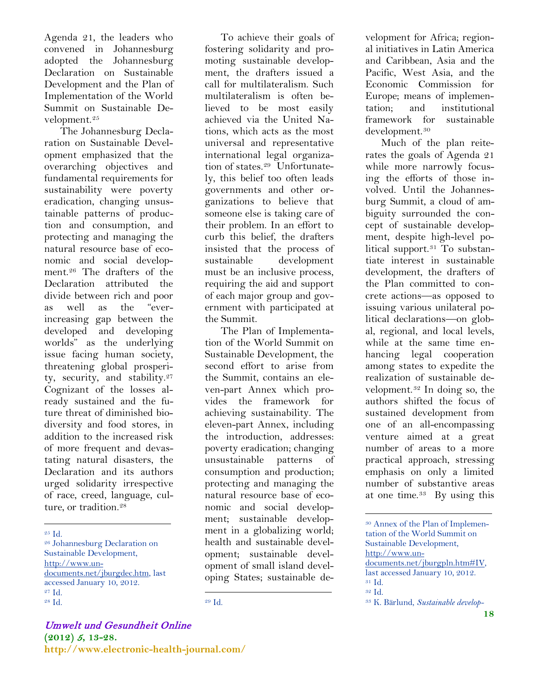Agenda 21, the leaders who convened in Johannesburg adopted the Johannesburg Declaration on Sustainable Development and the Plan of Implementation of the World Summit on Sustainable Development.[25](#page-5-0)

The Johannesburg Declaration on Sustainable Development emphasized that the overarching objectives and fundamental requirements for sustainability were poverty eradication, changing unsustainable patterns of production and consumption, and protecting and managing the natural resource base of economic and social development.[26](#page-5-0) The drafters of the Declaration attributed the divide between rich and poor as well as the "everincreasing gap between the developed and developing worlds" as the underlying issue facing human society, threatening global prosperi-ty, security, and stability.<sup>[27](#page-5-0)</sup> Cognizant of the losses already sustained and the future threat of diminished biodiversity and food stores, in addition to the increased risk of more frequent and devastating natural disasters, the Declaration and its authors urged solidarity irrespective of race, creed, language, cul-ture, or tradition.<sup>[28](#page-5-0)</sup>

<span id="page-5-2"></span><span id="page-5-0"></span>25 Id.

<span id="page-5-1"></span><sup>26</sup> Johannesburg Declaration on Sustainable Development, [http://www.un](http://www.un-documents.net/jburgdec.htm)[documents.net/jburgdec.htm,](http://www.un-documents.net/jburgdec.htm) last accessed January 10, 2012. <sup>27</sup> Id. <sup>28</sup> Id.

To achieve their goals of fostering solidarity and promoting sustainable development, the drafters issued a call for multilateralism. Such multilateralism is often believed to be most easily achieved via the United Nations, which acts as the most universal and representative international legal organization of states.[29](#page-5-1) Unfortunately, this belief too often leads governments and other organizations to believe that someone else is taking care of their problem. In an effort to curb this belief, the drafters insisted that the process of sustainable development must be an inclusive process, requiring the aid and support of each major group and government with participated at the Summit.

The Plan of Implementation of the World Summit on Sustainable Development, the second effort to arise from the Summit, contains an eleven-part Annex which provides the framework for achieving sustainability. The eleven-part Annex, including the introduction, addresses: poverty eradication; changing unsustainable patterns of consumption and production; protecting and managing the natural resource base of economic and social development; sustainable development in a globalizing world; health and sustainable development; sustainable development of small island developing States; sustainable de-

29 Id.

velopment for Africa; regional initiatives in Latin America and Caribbean, Asia and the Pacific, West Asia, and the Economic Commission for Europe; means of implementation; and institutional framework for sustainable development.<sup>[30](#page-5-2)</sup>

Much of the plan reiterates the goals of Agenda 21 while more narrowly focusing the efforts of those involved. Until the Johannesburg Summit, a cloud of ambiguity surrounded the concept of sustainable development, despite high-level po-litical support.<sup>[31](#page-5-2)</sup> To substantiate interest in sustainable development, the drafters of the Plan committed to concrete actions—as opposed to issuing various unilateral political declarations—on global, regional, and local levels, while at the same time enhancing legal cooperation among states to expedite the realization of sustainable development.[32](#page-5-2) In doing so, the authors shifted the focus of sustained development from one of an all-encompassing venture aimed at a great number of areas to a more practical approach, stressing emphasis on only a limited number of substantive areas at one time.[33](#page-5-2) By using this

 30 Annex of the Plan of Implementation of the World Summit on Sustainable Development, [http://www.un](http://www.un-documents.net/jburgpln.htm#IV)[documents.net/jburgpln.htm#IV,](http://www.un-documents.net/jburgpln.htm#IV)  last accessed January 10, 2012. <sup>31</sup> Id.

<sup>32</sup> Id.

<sup>33</sup> K. Bärlund, *Sustainable develop-*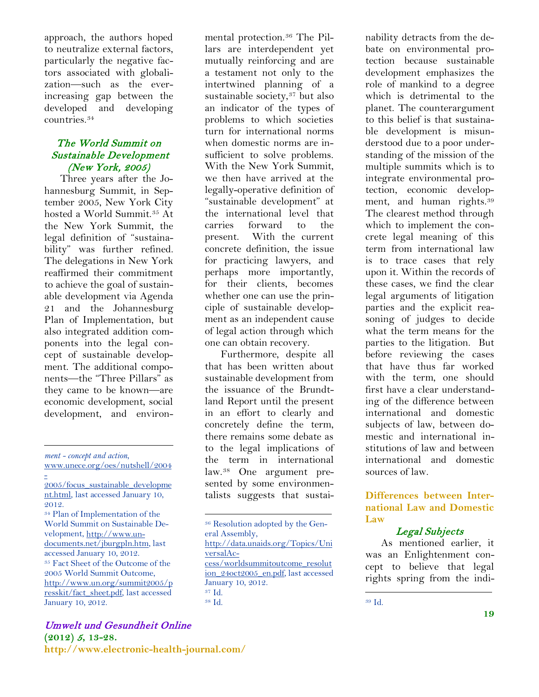approach, the authors hoped to neutralize external factors, particularly the negative factors associated with globalization—such as the everincreasing gap between the developed and developing countries.[34](#page-6-0)

# The World Summit on Sustainable Development (New York, 2005)

Three years after the Johannesburg Summit, in September 2005, New York City hosted a World Summit.<sup>[35](#page-6-0)</sup> At the New York Summit, the legal definition of "sustainability" was further refined. The delegations in New York reaffirmed their commitment to achieve the goal of sustainable development via Agenda 21 and the Johannesburg Plan of Implementation, but also integrated addition components into the legal concept of sustainable development. The additional components—the "Three Pillars" as they came to be known—are economic development, social development, and environ-

#### <span id="page-6-0"></span> $\overline{a}$ *ment - concept and action*, [www.unece.org/oes/nutshell/2004](http://www.unece.org/oes/nutshell/2004-2005/focus_sustainable_development.html)

[-](http://www.unece.org/oes/nutshell/2004-2005/focus_sustainable_development.html) [2005/focus\\_sustainable\\_developme](http://www.unece.org/oes/nutshell/2004-2005/focus_sustainable_development.html) [nt.html,](http://www.unece.org/oes/nutshell/2004-2005/focus_sustainable_development.html) last accessed January 10, 2012.

<span id="page-6-2"></span><span id="page-6-1"></span><sup>34</sup> Plan of Implementation of the World Summit on Sustainable Development, [http://www.un](http://www.un-documents.net/jburgpln.htm)[documents.net/jburgpln.htm,](http://www.un-documents.net/jburgpln.htm) last accessed January 10, 2012. <sup>35</sup> Fact Sheet of the Outcome of the 2005 World Summit Outcome, [http://www.un.org/summit2005/p](http://www.un.org/summit2005/presskit/fact_sheet.pdf) [resskit/fact\\_sheet.pdf,](http://www.un.org/summit2005/presskit/fact_sheet.pdf) last accessed January 10, 2012.

Furthermore, despite all that has been written about sustainable development from the issuance of the Brundtland Report until the present in an effort to clearly and concretely define the term, there remains some debate as to the legal implications of the term in international law.[38](#page-6-1) One argument presented by some environmentalists suggests that sustainability detracts from the debate on environmental protection because sustainable development emphasizes the role of mankind to a degree which is detrimental to the planet. The counterargument to this belief is that sustainable development is misunderstood due to a poor understanding of the mission of the multiple summits which is to integrate environmental protection, economic development, and human rights.<sup>39</sup> The clearest method through which to implement the concrete legal meaning of this term from international law is to trace cases that rely upon it. Within the records of these cases, we find the clear legal arguments of litigation parties and the explicit reasoning of judges to decide what the term means for the parties to the litigation. But before reviewing the cases that have thus far worked with the term, one should first have a clear understanding of the difference between international and domestic subjects of law, between domestic and international institutions of law and between international and domestic sources of law.

# **Differences between International Law and Domestic Law**

## Legal Subjects

As mentioned earlier, it was an Enlightenment concept to believe that legal rights spring from the indi-

mental protection.[36](#page-6-1) The Pillars are interdependent yet mutually reinforcing and are a testament not only to the intertwined planning of a sustainable society, $37$  but also an indicator of the types of problems to which societies turn for international norms when domestic norms are insufficient to solve problems. With the New York Summit, we then have arrived at the legally-operative definition of "sustainable development" at the international level that carries forward to the present. With the current concrete definition, the issue for practicing lawyers, and perhaps more importantly, for their clients, becomes whether one can use the principle of sustainable development as an independent cause of legal action through which one can obtain recovery.

 <sup>36</sup> Resolution adopted by the General Assembly, [http://data.unaids.org/Topics/Uni](http://data.unaids.org/Topics/UniversalAccess/worldsummitoutcome_resolution_24oct2005_en.pdf) [versalAc](http://data.unaids.org/Topics/UniversalAccess/worldsummitoutcome_resolution_24oct2005_en.pdf)[cess/worldsummitoutcome\\_resolut](http://data.unaids.org/Topics/UniversalAccess/worldsummitoutcome_resolution_24oct2005_en.pdf) [ion\\_24oct2005\\_en.pdf,](http://data.unaids.org/Topics/UniversalAccess/worldsummitoutcome_resolution_24oct2005_en.pdf) last accessed January 10, 2012. <sup>37</sup> Id. <sup>38</sup> Id.

 <sup>39</sup> Id.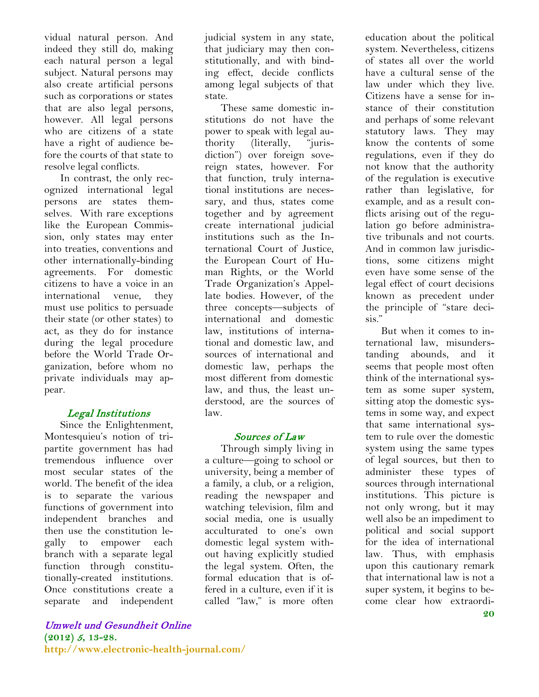vidual natural person. And indeed they still do, making each natural person a legal subject. Natural persons may also create artificial persons such as corporations or states that are also legal persons, however. All legal persons who are citizens of a state have a right of audience before the courts of that state to resolve legal conflicts.

In contrast, the only recognized international legal persons are states themselves. With rare exceptions like the European Commission, only states may enter into treaties, conventions and other internationally-binding agreements. For domestic citizens to have a voice in an international venue, they must use politics to persuade their state (or other states) to act, as they do for instance during the legal procedure before the World Trade Organization, before whom no private individuals may appear.

# Legal Institutions

Since the Enlightenment, Montesquieu's notion of tripartite government has had tremendous influence over most secular states of the world. The benefit of the idea is to separate the various functions of government into independent branches and then use the constitution legally to empower each branch with a separate legal function through constitutionally-created institutions. Once constitutions create a separate and independent

judicial system in any state, that judiciary may then constitutionally, and with binding effect, decide conflicts among legal subjects of that state.

These same domestic institutions do not have the power to speak with legal authority (literally, "jurisdiction") over foreign sovereign states, however. For that function, truly international institutions are necessary, and thus, states come together and by agreement create international judicial institutions such as the International Court of Justice, the European Court of Human Rights, or the World Trade Organization's Appellate bodies. However, of the three concepts—subjects of international and domestic law, institutions of international and domestic law, and sources of international and domestic law, perhaps the most different from domestic law, and thus, the least understood, are the sources of law.

## Sources of Law

Through simply living in a culture—going to school or university, being a member of a family, a club, or a religion, reading the newspaper and watching television, film and social media, one is usually acculturated to one's own domestic legal system without having explicitly studied the legal system. Often, the formal education that is offered in a culture, even if it is called "law," is more often

education about the political system. Nevertheless, citizens of states all over the world have a cultural sense of the law under which they live. Citizens have a sense for instance of their constitution and perhaps of some relevant statutory laws. They may know the contents of some regulations, even if they do not know that the authority of the regulation is executive rather than legislative, for example, and as a result conflicts arising out of the regulation go before administrative tribunals and not courts. And in common law jurisdictions, some citizens might even have some sense of the legal effect of court decisions known as precedent under the principle of "stare decisis."

But when it comes to international law, misunderstanding abounds, and it seems that people most often think of the international system as some super system, sitting atop the domestic systems in some way, and expect that same international system to rule over the domestic system using the same types of legal sources, but then to administer these types of sources through international institutions. This picture is not only wrong, but it may well also be an impediment to political and social support for the idea of international law. Thus, with emphasis upon this cautionary remark that international law is not a super system, it begins to become clear how extraordi-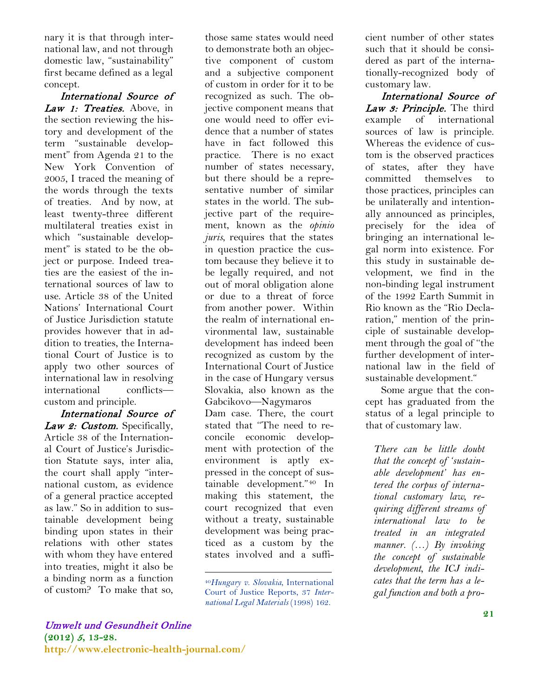nary it is that through international law, and not through domestic law, "sustainability" first became defined as a legal concept.

International Source of Law 1: Treaties. Above, in the section reviewing the history and development of the term "sustainable development" from Agenda 21 to the New York Convention of 2005, I traced the meaning of the words through the texts of treaties. And by now, at least twenty-three different multilateral treaties exist in which "sustainable development" is stated to be the object or purpose. Indeed treaties are the easiest of the international sources of law to use. Article 38 of the United Nations' International Court of Justice Jurisdiction statute provides however that in addition to treaties, the International Court of Justice is to apply two other sources of international law in resolving international conflicts custom and principle.

<span id="page-8-0"></span>International Source of Law 2: Custom. Specifically, Article 38 of the International Court of Justice's Jurisdiction Statute says, inter alia, the court shall apply "international custom, as evidence of a general practice accepted as law." So in addition to sustainable development being binding upon states in their relations with other states with whom they have entered into treaties, might it also be a binding norm as a function of custom? To make that so,

those same states would need to demonstrate both an objective component of custom and a subjective component of custom in order for it to be recognized as such. The objective component means that one would need to offer evidence that a number of states have in fact followed this practice. There is no exact number of states necessary, but there should be a representative number of similar states in the world. The subjective part of the requirement, known as the *opinio juris*, requires that the states in question practice the custom because they believe it to be legally required, and not out of moral obligation alone or due to a threat of force from another power. Within the realm of international environmental law, sustainable development has indeed been recognized as custom by the International Court of Justice in the case of Hungary versus Slovakia, also known as the Gabcikovo—Nagymaros Dam case. There, the court stated that ''The need to reconcile economic development with protection of the environment is aptly expressed in the concept of sustainable development."[40](#page-8-0) In making this statement, the court recognized that even without a treaty, sustainable development was being prac-

 40*Hungary v. Slovakia*, International Court of Justice Reports, 37 *International Legal Materials* (1998) 162.

ticed as a custom by the states involved and a sufficient number of other states such that it should be considered as part of the internationally-recognized body of customary law.

International Source of Law 3: Principle. The third example of international sources of law is principle. Whereas the evidence of custom is the observed practices of states, after they have committed themselves to those practices, principles can be unilaterally and intentionally announced as principles, precisely for the idea of bringing an international legal norm into existence. For this study in sustainable development, we find in the non-binding legal instrument of the 1992 Earth Summit in Rio known as the "Rio Declaration," mention of the principle of sustainable development through the goal of ''the further development of international law in the field of sustainable development."

Some argue that the concept has graduated from the status of a legal principle to that of customary law.

*There can be little doubt that the concept of 'sustainable development' has entered the corpus of international customary law, requiring different streams of international law to be treated in an integrated manner. (…) By invoking the concept of sustainable development, the ICJ indicates that the term has a legal function and both a pro-*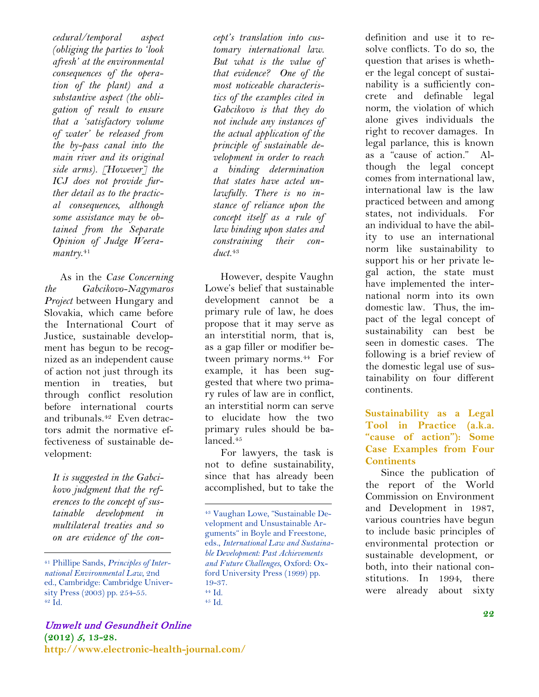*cedural/temporal aspect (obliging the parties to 'look afresh' at the environmental consequences of the operation of the plant) and a substantive aspect (the obligation of result to ensure that a 'satisfactory volume of water' be released from the by-pass canal into the main river and its original side arms). [However] the ICJ does not provide further detail as to the practical consequences, although some assistance may be obtained from the Separate Opinion of Judge Weeramantry*. [41](#page-9-0)

As in the *Case Concerning the Gabcikovo-Nagymaros Project* between Hungary and Slovakia, which came before the International Court of Justice, sustainable development has begun to be recognized as an independent cause of action not just through its mention in treaties, but through conflict resolution before international courts and tribunals.[42](#page-9-0) Even detractors admit the normative effectiveness of sustainable development:

<span id="page-9-1"></span>*It is suggested in the Gabcikovo judgment that the references to the concept of sustainable development in multilateral treaties and so on are evidence of the con-*

*cept's translation into customary international law. But what is the value of that evidence? One of the most noticeable characteristics of the examples cited in Gabcikovo is that they do not include any instances of the actual application of the principle of sustainable development in order to reach a binding determination that states have acted unlawfully. There is no instance of reliance upon the concept itself as a rule of law binding upon states and constraining their conduct.*[43](#page-9-1)

However, despite Vaughn Lowe's belief that sustainable development cannot be a primary rule of law, he does propose that it may serve as an interstitial norm, that is, as a gap filler or modifier between primary norms.[44](#page-9-1) For example, it has been suggested that where two primary rules of law are in conflict, an interstitial norm can serve to elucidate how the two primary rules should be balanced.[45](#page-9-1)

For lawyers, the task is not to define sustainability, since that has already been accomplished, but to take the question that arises is whether the legal concept of sustainability is a sufficiently concrete and definable legal norm, the violation of which alone gives individuals the right to recover damages. In legal parlance, this is known as a "cause of action." Although the legal concept comes from international law, international law is the law practiced between and among states, not individuals. For an individual to have the ability to use an international norm like sustainability to support his or her private legal action, the state must have implemented the international norm into its own domestic law. Thus, the impact of the legal concept of sustainability can best be seen in domestic cases. The following is a brief review of the domestic legal use of sustainability on four different continents.

definition and use it to resolve conflicts. To do so, the

# **Sustainability as a Legal Tool in Practice (a.k.a. "cause of action"): Some Case Examples from Four Continents**

Since the publication of the report of the World Commission on Environment and Development in 1987, various countries have begun to include basic principles of environmental protection or sustainable development, or both, into their national constitutions. In 1994, there were already about sixty

<span id="page-9-0"></span> <sup>41</sup> Phillipe Sands, *Principles of International Environmental Law*, 2nd ed., Cambridge: Cambridge University Press (2003) pp. 254-55. <sup>42</sup> Id.

 <sup>43</sup> Vaughan Lowe, "Sustainable Development and Unsustainable Arguments" in Boyle and Freestone, eds., *International Law and Sustainable Development: Past Achievements and Future Challenges*, Oxford: Oxford University Press (1999) pp. 19-37.

<sup>44</sup> Id. <sup>45</sup> Id.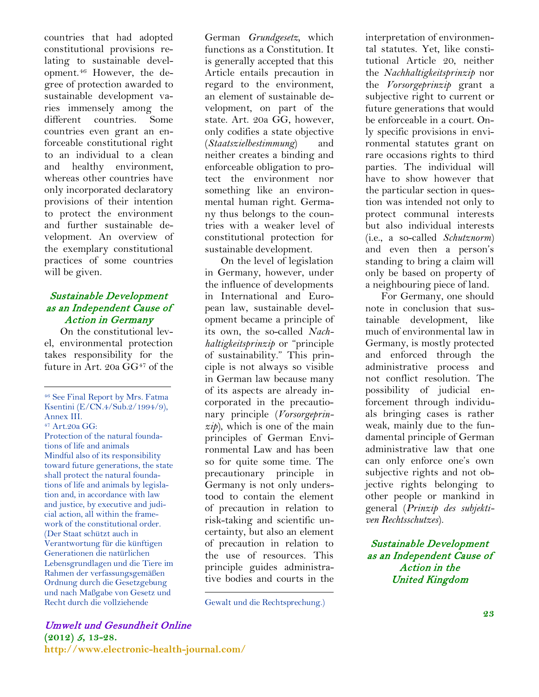countries that had adopted constitutional provisions relating to sustainable development.[46](#page-10-0) However, the degree of protection awarded to sustainable development varies immensely among the different countries. Some countries even grant an enforceable constitutional right to an individual to a clean and healthy environment, whereas other countries have only incorporated declaratory provisions of their intention to protect the environment and further sustainable development. An overview of the exemplary constitutional practices of some countries will be given.

## Sustainable Development as an Independent Cause of Action in Germany

On the constitutional level, environmental protection takes responsibility for the future in Art. 20a GG<sup>[47](#page-10-0)</sup> of the

<span id="page-10-0"></span> 46 See Final Report by Mrs. Fatma Ksentini (E/CN.4/Sub.2/1994/9), Annex III.

<sup>47</sup> Art.20a GG:

Protection of the natural foundations of life and animals Mindful also of its responsibility toward future generations, the state shall protect the natural foundations of life and animals by legislation and, in accordance with law and justice, by executive and judicial action, all within the framework of the constitutional order. (Der Staat schützt auch in Verantwortung für die künftigen Generationen die natürlichen Lebensgrundlagen und die Tiere im Rahmen der verfassungsgemäßen Ordnung durch die Gesetzgebung und nach Maßgabe von Gesetz und Recht durch die vollziehende

German *Grundgesetz,* which functions as a Constitution. It is generally accepted that this Article entails precaution in regard to the environment, an element of sustainable development, on part of the state. Art. 20a GG, however, only codifies a state objective (*Staatszielbestimmung*) and neither creates a binding and enforceable obligation to protect the environment nor something like an environmental human right. Germany thus belongs to the countries with a weaker level of constitutional protection for sustainable development.

On the level of legislation in Germany, however, under the influence of developments in International and European law, sustainable development became a principle of its own, the so-called *Nachhaltigkeitsprinzip* or "principle of sustainability." This principle is not always so visible in German law because many of its aspects are already incorporated in the precautionary principle (*Vorsorgeprinzip*), which is one of the main principles of German Environmental Law and has been so for quite some time. The precautionary principle in Germany is not only understood to contain the element of precaution in relation to risk-taking and scientific uncertainty, but also an element of precaution in relation to the use of resources. This principle guides administrative bodies and courts in the

Gewalt und die Rechtsprechung.)

interpretation of environmental statutes. Yet, like constitutional Article 20, neither the *Nachhaltigkeitsprinzip* nor the *Vorsorgeprinzip* grant a subjective right to current or future generations that would be enforceable in a court. Only specific provisions in environmental statutes grant on rare occasions rights to third parties. The individual will have to show however that the particular section in question was intended not only to protect communal interests but also individual interests (i.e., a so-called *Schutznorm*) and even then a person's standing to bring a claim will only be based on property of a neighbouring piece of land.

For Germany, one should note in conclusion that sustainable development, like much of environmental law in Germany, is mostly protected and enforced through the administrative process and not conflict resolution. The possibility of judicial enforcement through individuals bringing cases is rather weak, mainly due to the fundamental principle of German administrative law that one can only enforce one's own subjective rights and not objective rights belonging to other people or mankind in general (*Prinzip des subjektiven Rechtsschutzes*).

Sustainable Development as an Independent Cause of Action in the United Kingdom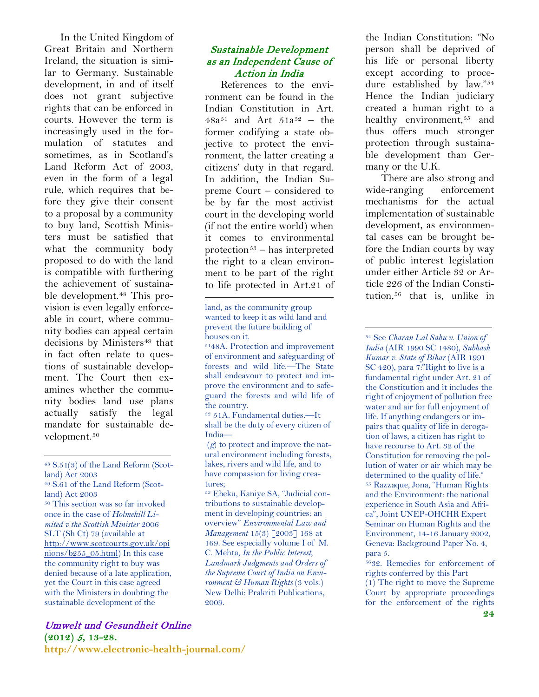In the United Kingdom of Great Britain and Northern Ireland, the situation is similar to Germany. Sustainable development, in and of itself does not grant subjective rights that can be enforced in courts. However the term is increasingly used in the formulation of statutes and sometimes, as in Scotland's Land Reform Act of 2003, even in the form of a legal rule, which requires that before they give their consent to a proposal by a community to buy land, Scottish Ministers must be satisfied that what the community body proposed to do with the land is compatible with furthering the achievement of sustaina-ble development.<sup>[48](#page-11-0)</sup> This provision is even legally enforceable in court, where community bodies can appeal certain decisions by Ministers<sup>[49](#page-11-0)</sup> that in fact often relate to questions of sustainable development. The Court then examines whether the community bodies land use plans actually satisfy the legal mandate for sustainable de-velopment.<sup>[50](#page-11-0)</sup>

<sup>50</sup> This section was so far invoked once in the case of *Holmehill Limited v the Scottish Minister* 2006 SLT (Sh Ct) 79 (available at [http://www.scotcourts.gov.uk/opi](http://www.scotcourts.gov.uk/opinions/b255_05.html) [nions/b255\\_05.html\)](http://www.scotcourts.gov.uk/opinions/b255_05.html) In this case the community right to buy was denied because of a late application, yet the Court in this case agreed with the Ministers in doubting the sustainable development of the

# Sustainable Development as an Independent Cause of Action in India

References to the environment can be found in the Indian Constitution in Art. 48a<sup>[51](#page-11-1)</sup> and Art  $51a^{52}$  $51a^{52}$  $51a^{52}$  – the former codifying a state objective to protect the environment, the latter creating a citizens' duty in that regard. In addition, the Indian Supreme Court – considered to be by far the most activist court in the developing world (if not the entire world) when it comes to environmental protection<sup>[53](#page-11-1)</sup> – has interpreted the right to a clean environment to be part of the right to life protected in Art.21 of

 land, as the community group wanted to keep it as wild land and prevent the future building of houses on it.

5148A. Protection and improvement of environment and safeguarding of forests and wild life.—The State shall endeavour to protect and improve the environment and to safeguard the forests and wild life of the country.

<sup>52</sup> 51A. Fundamental duties.—It shall be the duty of every citizen of India—

(*g*) to protect and improve the natural environment including forests, lakes, rivers and wild life, and to have compassion for living creatures;

<sup>53</sup> Ebeku, Kaniye SA, "Judicial contributions to sustainable development in developing countries: an overview" *Environmental Law and Management* 15(3) [2003] 168 at 169. See especially volume I of M. C. Mehta, *In the Public Interest, Landmark Judgments and Orders of the Supreme Court of India on Environment & Human Rights* (3 vols.) New Delhi: Prakriti Publications, 2009.

the Indian Constitution: "No person shall be deprived of his life or personal liberty except according to procedure established by law.["54](#page-11-2) Hence the Indian judiciary created a human right to a healthy environment,<sup>[55](#page-11-2)</sup> and thus offers much stronger protection through sustainable development than Germany or the U.K.

There are also strong and wide-ranging enforcement mechanisms for the actual implementation of sustainable development, as environmental cases can be brought before the Indian courts by way of public interest legislation under either Article 32 or Article 226 of the Indian Constitution,[56](#page-11-2) that is, unlike in

 54 See *Charan Lal Sahu v. Union of India* (AIR 1990 SC 1480), *Subhash Kumar v. State of Bihar* (AIR 1991 SC 420), para 7:"Right to live is a fundamental right under Art. 21 of the Constitution and it includes the right of enjoyment of pollution free water and air for full enjoyment of life. If anything endangers or impairs that quality of life in derogation of laws, a citizen has right to have recourse to Art. 32 of the Constitution for removing the pollution of water or air which may be determined to the quality of life." <sup>55</sup> Razzaque, Jona, "Human Rights and the Environment: the national experience in South Asia and Africa", Joint UNEP-OHCHR Expert Seminar on Human Rights and the Environment, 14-16 January 2002, Geneva: Background Paper No. 4, para 5.

5632. Remedies for enforcement of rights conferred by this Part (1) The right to move the Supreme

**24** Court by appropriate proceedings for the enforcement of the rights

Umwelt und Gesundheit Online **(2012)** <sup>5</sup>**, 13-28. http://www.electronic-health-journal.com/**

<span id="page-11-2"></span><span id="page-11-1"></span><span id="page-11-0"></span> <sup>48</sup> S.51(3) of the Land Reform (Scotland) Act 2003

<sup>49</sup> S.61 of the Land Reform (Scotland) Act 2003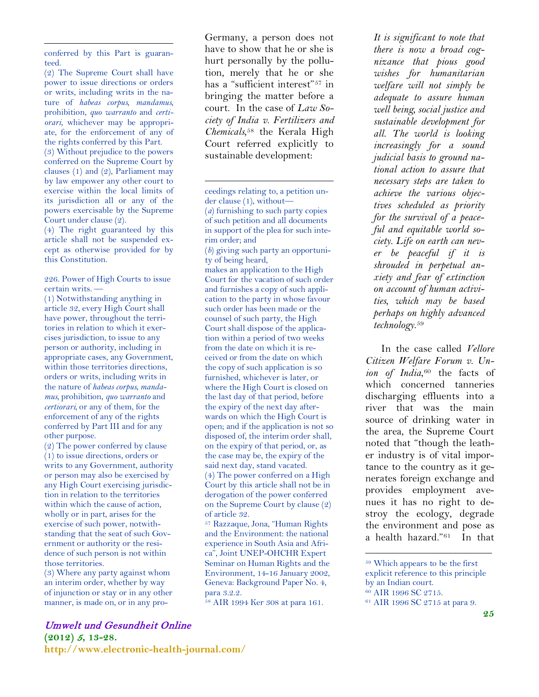conferred by this Part is guaranteed.

(2) The Supreme Court shall have power to issue directions or orders or writs, including writs in the nature of *habeas corpus, mandamus,*  prohibition, *quo warranto* and *certiorari,* whichever may be appropriate, for the enforcement of any of the rights conferred by this Part. (3) Without prejudice to the powers conferred on the Supreme Court by clauses (1) and (2), Parliament may by law empower any other court to exercise within the local limits of its jurisdiction all or any of the powers exercisable by the Supreme Court under clause (2).

<span id="page-12-0"></span>(4) The right guaranteed by this article shall not be suspended except as otherwise provided for by this Constitution.

226. Power of High Courts to issue certain writs. —

(1) Notwithstanding anything in article 32, every High Court shall have power, throughout the territories in relation to which it exercises jurisdiction, to issue to any person or authority, including in appropriate cases, any Government, within those territories directions, orders or writs, including writs in the nature of *habeas corpus, mandamus,* prohibition, *quo warranto* and *certiorari,* or any of them, for the enforcement of any of the rights conferred by Part III and for any other purpose.

(2) The power conferred by clause (1) to issue directions, orders or writs to any Government, authority or person may also be exercised by any High Court exercising jurisdiction in relation to the territories within which the cause of action, wholly or in part, arises for the exercise of such power, notwithstanding that the seat of such Government or authority or the residence of such person is not within those territories.

<span id="page-12-1"></span>(3) Where any party against whom an interim order, whether by way of injunction or stay or in any other manner, is made on, or in any proGermany, a person does not have to show that he or she is hurt personally by the pollution, merely that he or she has a "sufficient interest"[57](#page-12-0) in bringing the matter before a court. In the case of *Law Society of India v. Fertilizers and Chemicals,*[58](#page-12-0) the Kerala High Court referred explicitly to sustainable development:

 ceedings relating to, a petition under clause (1), without— (*a*) furnishing to such party copies

of such petition and all documents in support of the plea for such interim order; and

(*b*) giving such party an opportunity of being heard,

makes an application to the High Court for the vacation of such order and furnishes a copy of such application to the party in whose favour such order has been made or the counsel of such party, the High Court shall dispose of the application within a period of two weeks from the date on which it is received or from the date on which the copy of such application is so furnished, whichever is later, or where the High Court is closed on the last day of that period, before the expiry of the next day afterwards on which the High Court is open; and if the application is not so disposed of, the interim order shall, on the expiry of that period, or, as the case may be, the expiry of the said next day, stand vacated. (4) The power conferred on a High Court by this article shall not be in derogation of the power conferred on the Supreme Court by clause (2) of article 32.

<sup>57</sup> Razzaque, Jona, "Human Rights and the Environment: the national experience in South Asia and Africa", Joint UNEP-OHCHR Expert Seminar on Human Rights and the Environment, 14-16 January 2002, Geneva: Background Paper No. 4, para 3.2.2.

<sup>58</sup> AIR 1994 Ker 308 at para 161.

*It is significant to note that there is now a broad cognizance that pious good wishes for humanitarian welfare will not simply be adequate to assure human well being, social justice and sustainable development for all. The world is looking increasingly for a sound judicial basis to ground national action to assure that necessary steps are taken to achieve the various objectives scheduled as priority for the survival of a peaceful and equitable world society. Life on earth can never be peaceful if it is shrouded in perpetual anxiety and fear of extinction on account of human activities, which may be based perhaps on highly advanced technology.*[59](#page-12-1)

In the case called *Vellore Citizen Welfare Forum v. Union of India*,<sup>[60](#page-12-1)</sup> the facts of which concerned tanneries discharging effluents into a river that was the main source of drinking water in the area, the Supreme Court noted that "though the leather industry is of vital importance to the country as it generates foreign exchange and provides employment avenues it has no right to destroy the ecology, degrade the environment and pose as a health hazard."[61](#page-12-1) In that

**(2012)** <sup>5</sup>**, 13-28. http://www.electronic-health-journal.com/**

 <sup>59</sup> Which appears to be the first explicit reference to this principle by an Indian court. <sup>60</sup> AIR 1996 SC 2715.

<sup>61</sup> AIR 1996 SC 2715 at para 9.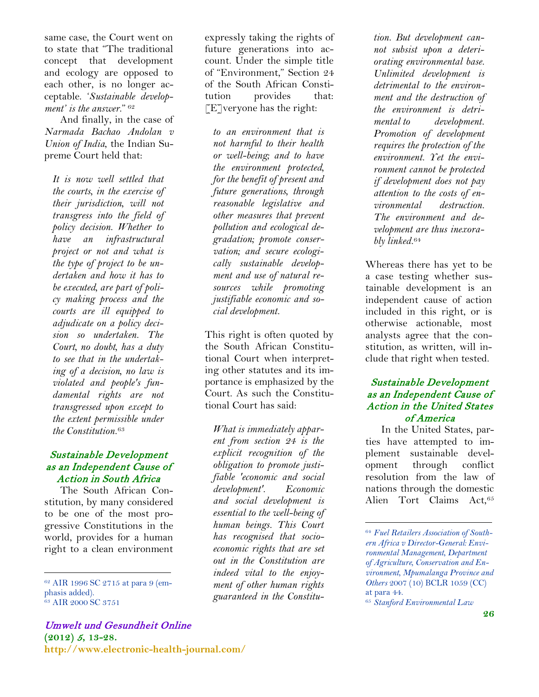same case, the Court went on to state that "The traditional concept that development and ecology are opposed to each other, is no longer acceptable. '*Sustainable development' is the answer*." [62](#page-13-0)

And finally, in the case of *Narmada Bachao Andolan v Union of India*, the Indian Supreme Court held that:

*It is now well settled that the courts, in the exercise of their jurisdiction, will not transgress into the field of policy decision. Whether to have an infrastructural project or not and what is the type of project to be undertaken and how it has to be executed, are part of policy making process and the courts are ill equipped to adjudicate on a policy decision so undertaken. The Court, no doubt, has a duty to see that in the undertaking of a decision, no law is violated and people's fundamental rights are not transgressed upon except to the extent permissible under the Constitution.*[63](#page-13-0)

## Sustainable Development as an Independent Cause of Action in South Africa

<span id="page-13-1"></span>The South African Constitution, by many considered to be one of the most progressive Constitutions in the world, provides for a human right to a clean environment

Umwelt und Gesundheit Online **(2012)** <sup>5</sup>**, 13-28. http://www.electronic-health-journal.com/**

expressly taking the rights of future generations into account. Under the simple title of "Environment," Section 24 of the South African Constitution provides that:  $\mathcal{F}$  veryone has the right:

*to an environment that is not harmful to their health or well-being; and to have the environment protected, for the benefit of present and future generations, through reasonable legislative and other measures that prevent pollution and ecological degradation; promote conservation; and secure ecologically sustainable development and use of natural resources while promoting justifiable economic and social development.*

This right is often quoted by the South African Constitutional Court when interpreting other statutes and its importance is emphasized by the Court. As such the Constitutional Court has said:

*What is immediately apparent from section 24 is the explicit recognition of the obligation to promote justifiable 'economic and social development'. Economic and social development is essential to the well-being of human beings. This Court has recognised that socioeconomic rights that are set out in the Constitution are indeed vital to the enjoyment of other human rights guaranteed in the Constitu-* *tion. But development cannot subsist upon a deteriorating environmental base. Unlimited development is detrimental to the environment and the destruction of the environment is detrimental to development. Promotion of development requires the protection of the environment. Yet the environment cannot be protected if development does not pay attention to the costs of environmental destruction. The environment and development are thus inexorably linked.*[64](#page-13-1)

Whereas there has yet to be a case testing whether sustainable development is an independent cause of action included in this right, or is otherwise actionable, most analysts agree that the constitution, as written, will include that right when tested.

# Sustainable Development as an Independent Cause of Action in the United States of America

In the United States, parties have attempted to implement sustainable development through conflict resolution from the law of nations through the domestic Alien Tort Claims Act, [65](#page-13-1)

<span id="page-13-0"></span> <sup>62</sup> AIR 1996 SC 2715 at para 9 (emphasis added). <sup>63</sup> AIR 2000 SC 3751

 <sup>64</sup> *Fuel Retailers Association of Southern Africa v Director-General: Environmental Management, Department of Agriculture, Conservation and Environment, Mpumalanga Province and Others* 2007 (10) BCLR 1059 (CC) at para 44.

<sup>65</sup> *Stanford Environmental Law*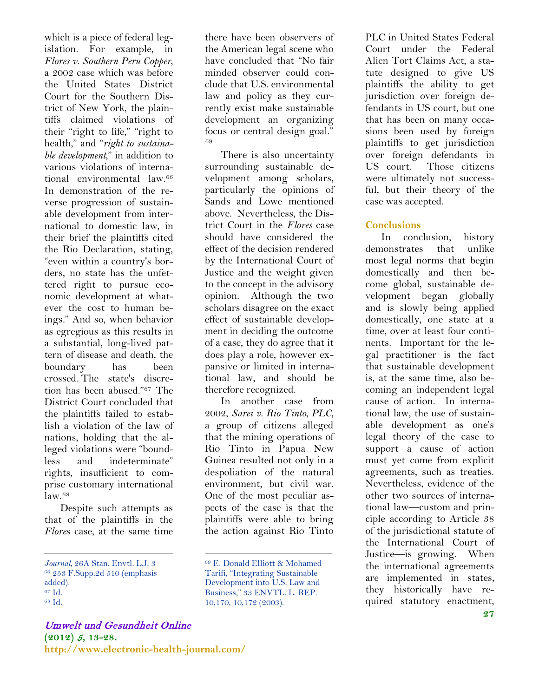which is a piece of federal legislation. For example, in *Flores v. Southern Peru Copper*, a 2002 case which was before the United States District Court for the Southern District of New York, the plaintiffs claimed violations of their "right to life," "right to health," and "*right to sustainable development*," in addition to various violations of international environmental law.[66](#page-14-0)  In demonstration of the reverse progression of sustainable development from international to domestic law, in their brief the plaintiffs cited the Rio Declaration, stating, "even within a country's borders, no state has the unfettered right to pursue economic development at whatever the cost to human beings." And so, when behavior as egregious as this results in a substantial, long-lived pattern of disease and death, the boundary has been crossed*.* The state's discretion has been abused."[67](#page-14-0) The District Court concluded that the plaintiffs failed to establish a violation of the law of nations, holding that the alleged violations were "boundless and indeterminate" rights, insufficient to comprise customary international  $law<sup>68</sup>$  $law<sup>68</sup>$  $law<sup>68</sup>$ 

Despite such attempts as that of the plaintiffs in the *Flore*s case, at the same time

 $\overline{a}$ 

there have been observers of the American legal scene who have concluded that "No fair minded observer could conclude that U.S. environmental law and policy as they currently exist make sustainable development an organizing focus or central design goal." [69](#page-14-0)

There is also uncertainty surrounding sustainable development among scholars, particularly the opinions of Sands and Lowe mentioned above. Nevertheless, the District Court in the *Flores* case should have considered the effect of the decision rendered by the International Court of Justice and the weight given to the concept in the advisory opinion. Although the two scholars disagree on the exact effect of sustainable development in deciding the outcome of a case, they do agree that it does play a role, however expansive or limited in international law, and should be therefore recognized.

In another case from 2002, *Sarei v. Rio Tinto, PLC*, a group of citizens alleged that the mining operations of Rio Tinto in Papua New Guinea resulted not only in a despoliation of the natural environment, but civil war. One of the most peculiar aspects of the case is that the plaintiffs were able to bring the action against Rio Tinto PLC in United States Federal Court under the Federal Alien Tort Claims Act, a statute designed to give US plaintiffs the ability to get jurisdiction over foreign defendants in US court, but one that has been on many occasions been used by foreign plaintiffs to get jurisdiction over foreign defendants in US court. Those citizens were ultimately not successful, but their theory of the case was accepted.

# **Conclusions**

**27** In conclusion, history demonstrates that unlike most legal norms that begin domestically and then become global, sustainable development began globally and is slowly being applied domestically, one state at a time, over at least four continents. Important for the legal practitioner is the fact that sustainable development is, at the same time, also becoming an independent legal cause of action. In international law, the use of sustainable development as one's legal theory of the case to support a cause of action must yet come from explicit agreements, such as treaties. Nevertheless, evidence of the other two sources of international law—custom and principle according to Article 38 of the jurisdictional statute of the International Court of Justice—is growing. When the international agreements are implemented in states, they historically have required statutory enactment,

Umwelt und Gesundheit Online **(2012)** <sup>5</sup>**, 13-28. http://www.electronic-health-journal.com/**

<span id="page-14-0"></span>*Journal*, 26A Stan. Envtl. L.J. 3 <sup>66</sup> 253 F.Supp.2d 510 (emphasis added). <sup>67</sup> Id. <sup>68</sup> Id.

 <sup>69</sup> E. Donald Elliott & Mohamed Tarifi, "Integrating Sustainable Development into U.S. Law and Business," 33 ENVTL. L. REP. 10,170, 10,172 (2003).